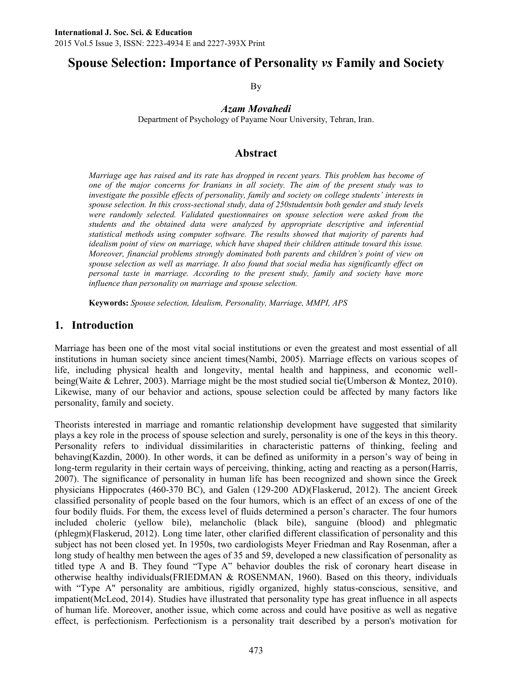# **Spouse Selection: Importance of Personality** *vs* **Family and Society**

By

*Azam Movahedi*

Department of Psychology of Payame Nour University, Tehran, Iran.

#### **Abstract**

*Marriage age has raised and its rate has dropped in recent years. This problem has become of one of the major concerns for Iranians in all society. The aim of the present study was to investigate the possible effects of personality, family and society on college students' interests in spouse selection. In this cross-sectional study, data of 250studentsin both gender and study levels were randomly selected. Validated questionnaires on spouse selection were asked from the students and the obtained data were analyzed by appropriate descriptive and inferential statistical methods using computer software. The results showed that majority of parents had idealism point of view on marriage, which have shaped their children attitude toward this issue. Moreover, financial problems strongly dominated both parents and children's point of view on spouse selection as well as marriage. It also found that social media has significantly effect on personal taste in marriage. According to the present study, family and society have more influence than personality on marriage and spouse selection.*

**Keywords:** *Spouse selection, Idealism, Personality, Marriage, MMPI, APS*

#### **1. Introduction**

Marriage has been one of the most vital social institutions or even the greatest and most essential of all institutions in human society since ancient times(Nambi, 2005). Marriage effects on various scopes of life, including physical health and longevity, mental health and happiness, and economic wellbeing(Waite & Lehrer, 2003). Marriage might be the most studied social tie(Umberson & Montez, 2010). Likewise, many of our behavior and actions, spouse selection could be affected by many factors like personality, family and society.

Theorists interested in marriage and romantic relationship development have suggested that similarity plays a key role in the process of spouse selection and surely, personality is one of the keys in this theory. Personality refers to individual dissimilarities in characteristic patterns of thinking, feeling and behaving(Kazdin, 2000). In other words, it can be defined as uniformity in a person's way of being in long-term regularity in their certain ways of perceiving, thinking, acting and reacting as a person(Harris, 2007). The significance of personality in human life has been recognized and shown since the Greek physicians Hippocrates (460-370 BC), and Galen (129-200 AD)(Flaskerud, 2012). The ancient Greek classified personality of people based on the four humors, which is an effect of an excess of one of the four bodily fluids. For them, the excess level of fluids determined a person's character. The four humors included choleric (yellow bile), melancholic (black bile), sanguine (blood) and phlegmatic (phlegm)(Flaskerud, 2012). Long time later, other clarified different classification of personality and this subject has not been closed yet. In 1950s, two cardiologists Meyer Friedman and Ray Rosenman, after a long study of healthy men between the ages of 35 and 59, developed a new classification of personality as titled type A and B. They found "Type A" behavior doubles the risk of coronary heart disease in otherwise healthy individuals(FRIEDMAN & ROSENMAN, 1960). Based on this theory, individuals with "Type A" personality are ambitious, rigidly organized, highly status-conscious, sensitive, and impatient(McLeod, 2014). Studies have illustrated that personality type has great influence in all aspects of human life. Moreover, another issue, which come across and could have positive as well as negative effect, is perfectionism. Perfectionism is a personality trait described by a person's motivation for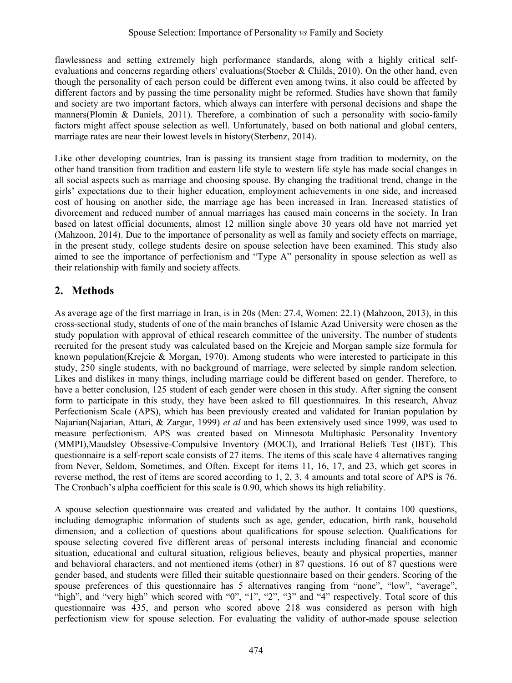flawlessness and setting extremely high performance standards, along with a highly critical selfevaluations and concerns regarding others' evaluations(Stoeber & Childs, 2010). On the other hand, even though the personality of each person could be different even among twins, it also could be affected by different factors and by passing the time personality might be reformed. Studies have shown that family and society are two important factors, which always can interfere with personal decisions and shape the manners(Plomin & Daniels, 2011). Therefore, a combination of such a personality with socio-family factors might affect spouse selection as well. Unfortunately, based on both national and global centers, marriage rates are near their lowest levels in history(Sterbenz, 2014).

Like other developing countries, Iran is passing its transient stage from tradition to modernity, on the other hand transition from tradition and eastern life style to western life style has made social changes in all social aspects such as marriage and choosing spouse. By changing the traditional trend, change in the girls' expectations due to their higher education, employment achievements in one side, and increased cost of housing on another side, the marriage age has been increased in Iran. Increased statistics of divorcement and reduced number of annual marriages has caused main concerns in the society. In Iran based on latest official documents, almost 12 million single above 30 years old have not married yet (Mahzoon, 2014). Due to the importance of personality as well as family and society effects on marriage, in the present study, college students desire on spouse selection have been examined. This study also aimed to see the importance of perfectionism and "Type A" personality in spouse selection as well as their relationship with family and society affects.

# **2. Methods**

As average age of the first marriage in Iran, is in 20s (Men: 27.4, Women: 22.1) (Mahzoon, 2013), in this cross-sectional study, students of one of the main branches of Islamic Azad University were chosen as the study population with approval of ethical research committee of the university. The number of students recruited for the present study was calculated based on the Krejcie and Morgan sample size formula for known population(Krejcie & Morgan, 1970). Among students who were interested to participate in this study, 250 single students, with no background of marriage, were selected by simple random selection. Likes and dislikes in many things, including marriage could be different based on gender. Therefore, to have a better conclusion, 125 student of each gender were chosen in this study. After signing the consent form to participate in this study, they have been asked to fill questionnaires. In this research, Ahvaz Perfectionism Scale (APS), which has been previously created and validated for Iranian population by Najarian(Najarian, Attari, & Zargar, 1999) *et al* and has been extensively used since 1999, was used to measure perfectionism. APS was created based on Minnesota Multiphasic Personality Inventory (MMPI),Maudsley Obsessive-Compulsive Inventory (MOCI), and Irrational Beliefs Test (IBT). This questionnaire is a self-report scale consists of 27 items. The items of this scale have 4 alternatives ranging from Never, Seldom, Sometimes, and Often. Except for items 11, 16, 17, and 23, which get scores in reverse method, the rest of items are scored according to 1, 2, 3, 4 amounts and total score of APS is 76. The Cronbach's alpha coefficient for this scale is 0.90, which shows its high reliability.

A spouse selection questionnaire was created and validated by the author. It contains 100 questions, including demographic information of students such as age, gender, education, birth rank, household dimension, and a collection of questions about qualifications for spouse selection. Qualifications for spouse selecting covered five different areas of personal interests including financial and economic situation, educational and cultural situation, religious believes, beauty and physical properties, manner and behavioral characters, and not mentioned items (other) in 87 questions. 16 out of 87 questions were gender based, and students were filled their suitable questionnaire based on their genders. Scoring of the spouse preferences of this questionnaire has 5 alternatives ranging from "none", "low", "average", "high", and "very high" which scored with "0", "1", "2", "3" and "4" respectively. Total score of this questionnaire was 435, and person who scored above 218 was considered as person with high perfectionism view for spouse selection. For evaluating the validity of author-made spouse selection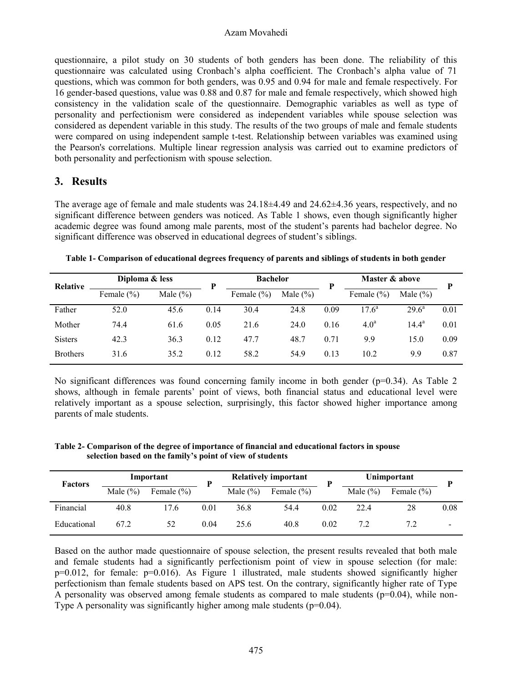#### Azam Movahedi

questionnaire, a pilot study on 30 students of both genders has been done. The reliability of this questionnaire was calculated using Cronbach's alpha coefficient. The Cronbach's alpha value of 71 questions, which was common for both genders, was 0.95 and 0.94 for male and female respectively. For 16 gender-based questions, value was 0.88 and 0.87 for male and female respectively, which showed high consistency in the validation scale of the questionnaire. Demographic variables as well as type of personality and perfectionism were considered as independent variables while spouse selection was considered as dependent variable in this study. The results of the two groups of male and female students were compared on using independent sample t-test. Relationship between variables was examined using the Pearson's correlations. Multiple linear regression analysis was carried out to examine predictors of both personality and perfectionism with spouse selection.

### **3. Results**

The average age of female and male students was  $24.18\pm4.49$  and  $24.62\pm4.36$  years, respectively, and no significant difference between genders was noticed. As Table 1 shows, even though significantly higher academic degree was found among male parents, most of the student's parents had bachelor degree. No significant difference was observed in educational degrees of student's siblings.

| Relative        | Diploma & less | D            | <b>Bachelor</b> |                |              | Master & above | p                |                |      |
|-----------------|----------------|--------------|-----------------|----------------|--------------|----------------|------------------|----------------|------|
|                 | Female $(\% )$ | Male $(\% )$ |                 | Female $(\% )$ | Male $(\% )$ |                | Female $(\% )$   | Male $(\% )$   |      |
| Father          | 52.0           | 45.6         | 0.14            | 30.4           | 24.8         | 0.09           | $17.6^a$         | $29.6^{\rm a}$ | 0.01 |
| Mother          | 74.4           | 61.6         | 0.05            | 21.6           | 24.0         | 0.16           | 4.0 <sup>a</sup> | $14.4^a$       | 0.01 |
| <b>Sisters</b>  | 42.3           | 36.3         | 0.12            | 47.7           | 48.7         | 0.71           | 9.9              | 15.0           | 0.09 |
| <b>Brothers</b> | 31.6           | 35.2         | 0.12            | 58.2           | 54.9         | 0.13           | 10.2             | 9.9            | 0.87 |

**Table 1- Comparison of educational degrees frequency of parents and siblings of students in both gender**

No significant differences was found concerning family income in both gender ( $p=0.34$ ). As Table 2 shows, although in female parents' point of views, both financial status and educational level were relatively important as a spouse selection, surprisingly, this factor showed higher importance among parents of male students.

**Table 2- Comparison of the degree of importance of financial and educational factors in spouse selection based on the family's point of view of students**

| <b>Factors</b> |             | Important      | D    |              | <b>Relatively important</b> | D    | Unimportant |                |                          |
|----------------|-------------|----------------|------|--------------|-----------------------------|------|-------------|----------------|--------------------------|
|                | Male $(\%)$ | Female $(\% )$ |      | Male $(\% )$ | Female $(\% )$              |      | Male $(\%)$ | Female $(\% )$ |                          |
| Financial      | 40.8        | 17.6           | 0.01 | 36.8         | 54.4                        | 0.02 | 22.4        | 28             | 0.08                     |
| Educational    | 67.2        | 52             | 0.04 | 25.6         | 40.8                        | 0.02 |             |                | $\overline{\phantom{0}}$ |

Based on the author made questionnaire of spouse selection, the present results revealed that both male and female students had a significantly perfectionism point of view in spouse selection (for male: p=0.012, for female: p=0.016). As Figure 1 illustrated, male students showed significantly higher perfectionism than female students based on APS test. On the contrary, significantly higher rate of Type A personality was observed among female students as compared to male students ( $p=0.04$ ), while non-Type A personality was significantly higher among male students  $(p=0.04)$ .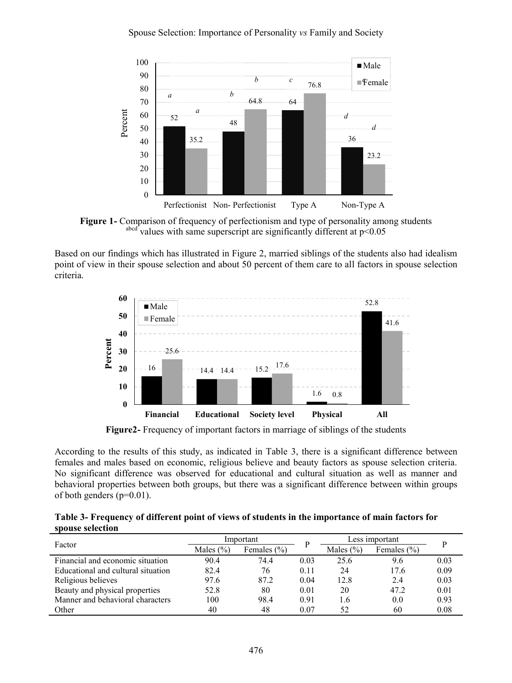

**Figure 1-** Comparison of frequency of perfectionism and type of personality among students abcd values with same superscript are significantly different at  $p<0.05$ 

Based on our findings which has illustrated in Figure 2, married siblings of the students also had idealism point of view in their spouse selection and about 50 percent of them care to all factors in spouse selection criteria.



**Figure2-** Frequency of important factors in marriage of siblings of the students

According to the results of this study, as indicated in Table 3, there is a significant difference between females and males based on economic, religious believe and beauty factors as spouse selection criteria. No significant difference was observed for educational and cultural situation as well as manner and behavioral properties between both groups, but there was a significant difference between within groups of both genders (p=0.01).

**Table 3- Frequency of different point of views of students in the importance of main factors for spouse selection**

|                                    |                                  | Important |      | Less important |      |      |
|------------------------------------|----------------------------------|-----------|------|----------------|------|------|
| Factor                             | Males $(\% )$<br>Females $(\% )$ |           |      | Males $(\% )$  |      |      |
| Financial and economic situation   | 90.4                             | 74.4      | 0.03 | 25.6           | 9.6  | 0.03 |
| Educational and cultural situation | 82.4                             | 76        | 0.11 | 24             | 17.6 | 0.09 |
| Religious believes                 | 97.6                             | 87.2      | 0.04 | 12.8           | 2.4  | 0.03 |
| Beauty and physical properties     | 52.8                             | 80        | 0.01 | 20             | 472  | 0.01 |
| Manner and behavioral characters   | 100                              | 98.4      | 0.91 | !.6            | 0.0  | 0.93 |
| Other                              | 40                               | 48        | 0.07 | 52             | 60   | 0.08 |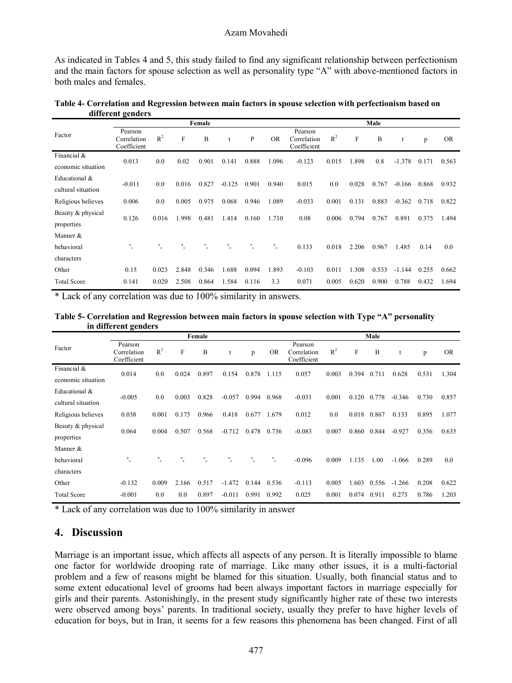As indicated in Tables 4 and 5, this study failed to find any significant relationship between perfectionism and the main factors for spouse selection as well as personality type "A" with above-mentioned factors in both males and females.

|                                     |                                       |       |       | Female |          |       | Male      |                                       |                |             |       |          |       |           |
|-------------------------------------|---------------------------------------|-------|-------|--------|----------|-------|-----------|---------------------------------------|----------------|-------------|-------|----------|-------|-----------|
| Factor                              | Pearson<br>Correlation<br>Coefficient | $R^2$ | F     | B      | t        | P     | <b>OR</b> | Pearson<br>Correlation<br>Coefficient | R <sup>2</sup> | $\mathbf F$ | B     | t        | p     | <b>OR</b> |
| Financial &<br>economic situation   | 0.013                                 | 0.0   | 0.02  | 0.901  | 0.141    | 0.888 | 1.096     | $-0.123$                              | 0.015          | 1.898       | 0.8   | $-1.378$ | 0.171 | 0.563     |
| Educational &<br>cultural situation | $-0.011$                              | 0.0   | 0.016 | 0.827  | $-0.125$ | 0.901 | 0.940     | 0.015                                 | 0.0            | 0.028       | 0.767 | $-0.166$ | 0.868 | 0.932     |
| Religious believes                  | 0.006                                 | 0.0   | 0.005 | 0.975  | 0.068    | 0.946 | 1.089     | $-0.033$                              | 0.001          | 0.131       | 0.883 | $-0.362$ | 0.718 | 0.822     |
| Beauty & physical<br>properties     | 0.126                                 | 0.016 | 1.998 | 0.481  | 1.414    | 0.160 | 1.710     | 0.08                                  | 0.006          | 0.794       | 0.767 | 0.891    | 0.375 | 1.494     |
| Manner &                            |                                       |       |       |        |          |       |           |                                       |                |             |       |          |       |           |
| behavioral                          | ÷.                                    |       |       | ۰      | ٠.       | ※     | ٠.        | 0.133                                 | 0.018          | 2.206       | 0.967 | 1.485    | 0.14  | 0.0       |
| characters                          |                                       |       |       |        |          |       |           |                                       |                |             |       |          |       |           |
| Other                               | 0.15                                  | 0.023 | 2.848 | 0.346  | 1.688    | 0.094 | 1.893     | $-0.103$                              | 0.011          | 1.308       | 0.533 | $-1.144$ | 0.255 | 0.662     |
| <b>Total Score</b>                  | 0.141                                 | 0.020 | 2.508 | 0.864  | 1.584    | 0.116 | 3.3       | 0.071                                 | 0.005          | 0.620       | 0.900 | 0.788    | 0.432 | 1.694     |

**Table 4- Correlation and Regression between main factors in spouse selection with perfectionism based on different genders**

\* Lack of any correlation was due to 100% similarity in answers.

**Table 5- Correlation and Regression between main factors in spouse selection with Type "A" personality in different genders**

|                                     |                                       |       |       | Female |          |       | Male      |                                       |                |       |       |          |       |           |
|-------------------------------------|---------------------------------------|-------|-------|--------|----------|-------|-----------|---------------------------------------|----------------|-------|-------|----------|-------|-----------|
| Factor                              | Pearson<br>Correlation<br>Coefficient | $R^2$ | F     | B      | t        | p     | <b>OR</b> | Pearson<br>Correlation<br>Coefficient | R <sup>2</sup> | F     | B     |          | p     | <b>OR</b> |
| Financial &<br>economic situation   | 0.014                                 | 0.0   | 0.024 | 0.897  | 0.154    | 0.878 | 1.115     | 0.057                                 | 0.003          | 0.394 | 0.711 | 0.628    | 0.531 | 1.304     |
| Educational &<br>cultural situation | $-0.005$                              | 0.0   | 0.003 | 0.828  | $-0.057$ | 0.994 | 0.968     | $-0.031$                              | 0.001          | 0.120 | 0.778 | $-0.346$ | 0.730 | 0.857     |
| Religious believes                  | 0.038                                 | 0.001 | 0.175 | 0.966  | 0.418    | 0.677 | 1.679     | 0.012                                 | 0.0            | 0.018 | 0.867 | 0.133    | 0.895 | 1.077     |
| Beauty & physical<br>properties     | 0.064                                 | 0.004 | 0.507 | 0.568  | $-0.712$ | 0.478 | 0.736     | $-0.083$                              | 0.007          | 0.860 | 0.844 | $-0.927$ | 0.356 | 0.635     |
| Manner $&$                          |                                       |       |       |        |          |       |           |                                       |                |       |       |          |       |           |
| behavioral                          | ۰                                     | *     | *     | 串      | *        | ×     | ٠.        | $-0.096$                              | 0.009          | 1.135 | 1.00  | $-1.066$ | 0.289 | 0.0       |
| characters                          |                                       |       |       |        |          |       |           |                                       |                |       |       |          |       |           |
| Other                               | $-0.132$                              | 0.009 | 2.166 | 0.517  | $-1.472$ | 0.144 | 0.536     | $-0.113$                              | 0.005          | 1.603 | 0.556 | $-1.266$ | 0.208 | 0.622     |
| <b>Total Score</b>                  | $-0.001$                              | 0.0   | 0.0   | 0.897  | $-0.011$ | 0.991 | 0.992     | 0.025                                 | 0.001          | 0.074 | 0.911 | 0.273    | 0.786 | 1.203     |

\* Lack of any correlation was due to 100% similarity in answer

### **4. Discussion**

Marriage is an important issue, which affects all aspects of any person. It is literally impossible to blame one factor for worldwide drooping rate of marriage. Like many other issues, it is a multi-factorial problem and a few of reasons might be blamed for this situation. Usually, both financial status and to some extent educational level of grooms had been always important factors in marriage especially for girls and their parents. Astonishingly, in the present study significantly higher rate of these two interests were observed among boys' parents. In traditional society, usually they prefer to have higher levels of education for boys, but in Iran, it seems for a few reasons this phenomena has been changed. First of all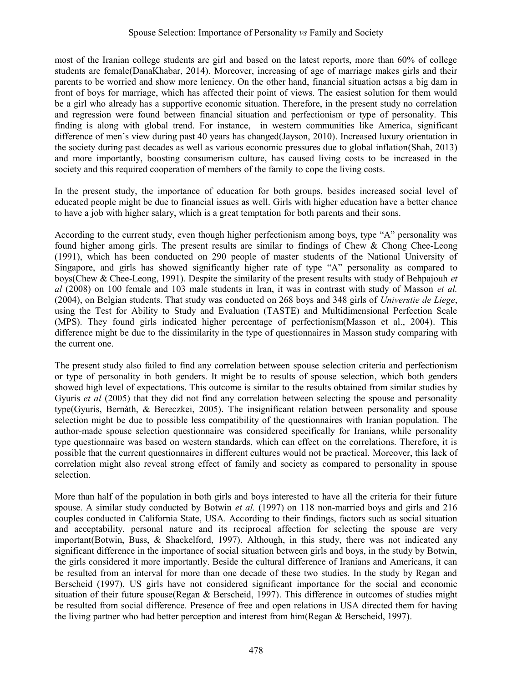most of the Iranian college students are girl and based on the latest reports, more than 60% of college students are female(DanaKhabar, 2014). Moreover, increasing of age of marriage makes girls and their parents to be worried and show more leniency. On the other hand, financial situation actsas a big dam in front of boys for marriage, which has affected their point of views. The easiest solution for them would be a girl who already has a supportive economic situation. Therefore, in the present study no correlation and regression were found between financial situation and perfectionism or type of personality. This finding is along with global trend. For instance, in western communities like America, significant difference of men's view during past 40 years has changed(Jayson, 2010). Increased luxury orientation in the society during past decades as well as various economic pressures due to global inflation(Shah, 2013) and more importantly, boosting consumerism culture, has caused living costs to be increased in the society and this required cooperation of members of the family to cope the living costs.

In the present study, the importance of education for both groups, besides increased social level of educated people might be due to financial issues as well. Girls with higher education have a better chance to have a job with higher salary, which is a great temptation for both parents and their sons.

According to the current study, even though higher perfectionism among boys, type "A" personality was found higher among girls. The present results are similar to findings of Chew & Chong Chee-Leong (1991), which has been conducted on 290 people of master students of the National University of Singapore, and girls has showed significantly higher rate of type "A" personality as compared to boys(Chew & Chee-Leong, 1991). Despite the similarity of the present results with study of Behpajouh *et al* (2008) on 100 female and 103 male students in Iran, it was in contrast with study of Masson *et al.* (2004), on Belgian students. That study was conducted on 268 boys and 348 girls of *Universtie de Liege*, using the Test for Ability to Study and Evaluation (TASTE) and Multidimensional Perfection Scale (MPS). They found girls indicated higher percentage of perfectionism(Masson et al., 2004). This difference might be due to the dissimilarity in the type of questionnaires in Masson study comparing with the current one.

The present study also failed to find any correlation between spouse selection criteria and perfectionism or type of personality in both genders. It might be to results of spouse selection, which both genders showed high level of expectations. This outcome is similar to the results obtained from similar studies by Gyuris *et al* (2005) that they did not find any correlation between selecting the spouse and personality type(Gyuris, Bernáth, & Bereczkei, 2005). The insignificant relation between personality and spouse selection might be due to possible less compatibility of the questionnaires with Iranian population. The author-made spouse selection questionnaire was considered specifically for Iranians, while personality type questionnaire was based on western standards, which can effect on the correlations. Therefore, it is possible that the current questionnaires in different cultures would not be practical. Moreover, this lack of correlation might also reveal strong effect of family and society as compared to personality in spouse selection.

More than half of the population in both girls and boys interested to have all the criteria for their future spouse. A similar study conducted by Botwin *et al.* (1997) on 118 non-married boys and girls and 216 couples conducted in California State, USA. According to their findings, factors such as social situation and acceptability, personal nature and its reciprocal affection for selecting the spouse are very important(Botwin, Buss, & Shackelford, 1997). Although, in this study, there was not indicated any significant difference in the importance of social situation between girls and boys, in the study by Botwin, the girls considered it more importantly. Beside the cultural difference of Iranians and Americans, it can be resulted from an interval for more than one decade of these two studies. In the study by Regan and Berscheid (1997), US girls have not considered significant importance for the social and economic situation of their future spouse(Regan & Berscheid, 1997). This difference in outcomes of studies might be resulted from social difference. Presence of free and open relations in USA directed them for having the living partner who had better perception and interest from  $\lim(\text{Regan } \& \text{ Berscheid}, 1997)$ .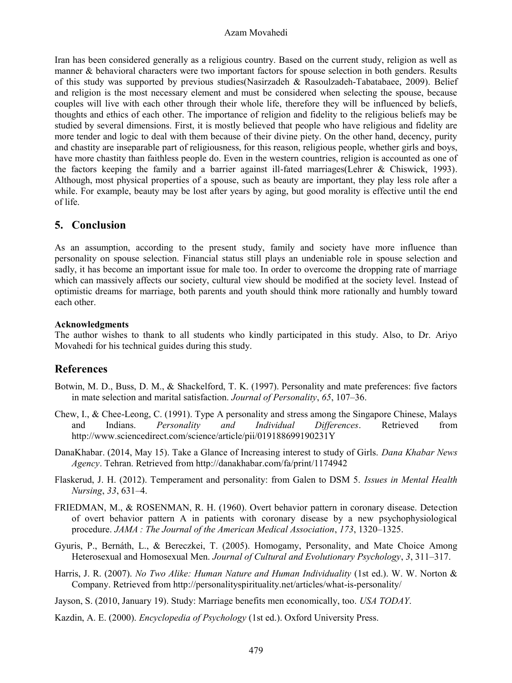#### Azam Movahedi

Iran has been considered generally as a religious country. Based on the current study, religion as well as manner & behavioral characters were two important factors for spouse selection in both genders. Results of this study was supported by previous studies(Nasirzadeh & Rasoulzadeh-Tabatabaee, 2009). Belief and religion is the most necessary element and must be considered when selecting the spouse, because couples will live with each other through their whole life, therefore they will be influenced by beliefs, thoughts and ethics of each other. The importance of religion and fidelity to the religious beliefs may be studied by several dimensions. First, it is mostly believed that people who have religious and fidelity are more tender and logic to deal with them because of their divine piety. On the other hand, decency, purity and chastity are inseparable part of religiousness, for this reason, religious people, whether girls and boys, have more chastity than faithless people do. Even in the western countries, religion is accounted as one of the factors keeping the family and a barrier against ill-fated marriages(Lehrer & Chiswick, 1993). Although, most physical properties of a spouse, such as beauty are important, they play less role after a while. For example, beauty may be lost after years by aging, but good morality is effective until the end of life.

### **5. Conclusion**

As an assumption, according to the present study, family and society have more influence than personality on spouse selection. Financial status still plays an undeniable role in spouse selection and sadly, it has become an important issue for male too. In order to overcome the dropping rate of marriage which can massively affects our society, cultural view should be modified at the society level. Instead of optimistic dreams for marriage, both parents and youth should think more rationally and humbly toward each other.

#### **Acknowledgments**

The author wishes to thank to all students who kindly participated in this study. Also, to Dr. Ariyo Movahedi for his technical guides during this study.

## **References**

- Botwin, M. D., Buss, D. M., & Shackelford, T. K. (1997). Personality and mate preferences: five factors in mate selection and marital satisfaction. *Journal of Personality*, *65*, 107–36.
- Chew, I., & Chee-Leong, C. (1991). Type A personality and stress among the Singapore Chinese, Malays and Indians. *Personality and Individual Differences*. Retrieved from http://www.sciencedirect.com/science/article/pii/019188699190231Y
- DanaKhabar. (2014, May 15). Take a Glance of Increasing interest to study of Girls. *Dana Khabar News Agency*. Tehran. Retrieved from http://danakhabar.com/fa/print/1174942
- Flaskerud, J. H. (2012). Temperament and personality: from Galen to DSM 5. *Issues in Mental Health Nursing*, *33*, 631–4.
- FRIEDMAN, M., & ROSENMAN, R. H. (1960). Overt behavior pattern in coronary disease. Detection of overt behavior pattern A in patients with coronary disease by a new psychophysiological procedure. *JAMA : The Journal of the American Medical Association*, *173*, 1320–1325.
- Gyuris, P., Bernáth, L., & Bereczkei, T. (2005). Homogamy, Personality, and Mate Choice Among Heterosexual and Homosexual Men. *Journal of Cultural and Evolutionary Psychology*, *3*, 311–317.
- Harris, J. R. (2007). *No Two Alike: Human Nature and Human Individuality* (1st ed.). W. W. Norton & Company. Retrieved from http://personalityspirituality.net/articles/what-is-personality/
- Jayson, S. (2010, January 19). Study: Marriage benefits men economically, too. *USA TODAY*.
- Kazdin, A. E. (2000). *Encyclopedia of Psychology* (1st ed.). Oxford University Press.